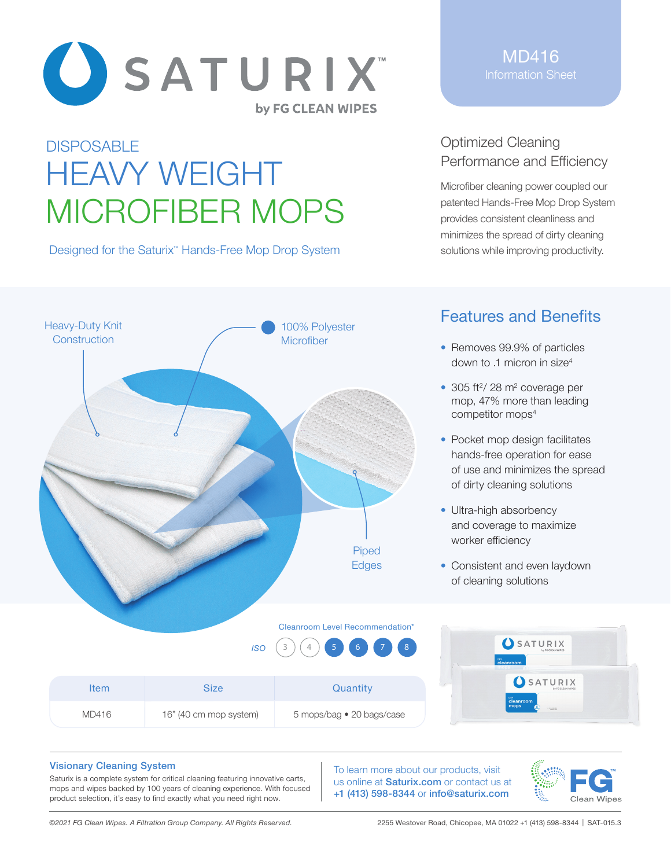

# **DISPOSABLE** HEAVY WEIGHT MICROFIBER MOPS

Designed for the Saturix<sup>™</sup> Hands-Free Mop Drop System

MD416 Information Sheet

## Optimized Cleaning Performance and Efficiency

Microfiber cleaning power coupled our patented Hands-Free Mop Drop System provides consistent cleanliness and minimizes the spread of dirty cleaning solutions while improving productivity.



## Features and Benefits

- Removes 99.9% of particles down to .1 micron in size4
- $\bullet$  305 ft<sup>2</sup>/ 28 m<sup>2</sup> coverage per mop, 47% more than leading competitor mops<sup>4</sup>
- Pocket mop design facilitates hands-free operation for ease of use and minimizes the spread of dirty cleaning solutions
- Ultra-high absorbency and coverage to maximize worker efficiency
- Consistent and even laydown of cleaning solutions

|             | <b>ISO</b>             | $\begin{array}{ c c c c c }\hline 3 & 4 & 5 & 6 & 7 & 8 \ \hline \end{array}$ | SATURIX<br>cleanroom                |  |
|-------------|------------------------|-------------------------------------------------------------------------------|-------------------------------------|--|
| <b>Item</b> | <b>Size</b>            | Quantity                                                                      | SATURIX                             |  |
| MD416       | 16" (40 cm mop system) | 5 mops/bag • 20 bags/case                                                     | cleanroom<br>mops<br><b>VERSION</b> |  |

#### Visionary Cleaning System

Saturix is a complete system for critical cleaning featuring innovative carts, mops and wipes backed by 100 years of cleaning experience. With focused product selection, it's easy to find exactly what you need right now.

To learn more about our products, visit us online at **Saturix.com** or contact us at +1 (413) 598-8344 or info@saturix.com



*©2021 FG Clean Wipes. A Filtration Group Company. All Rights Reserved.* 2255 Westover Road, Chicopee, MA 01022 +1 (413) 598-8344 | SAT-015.3